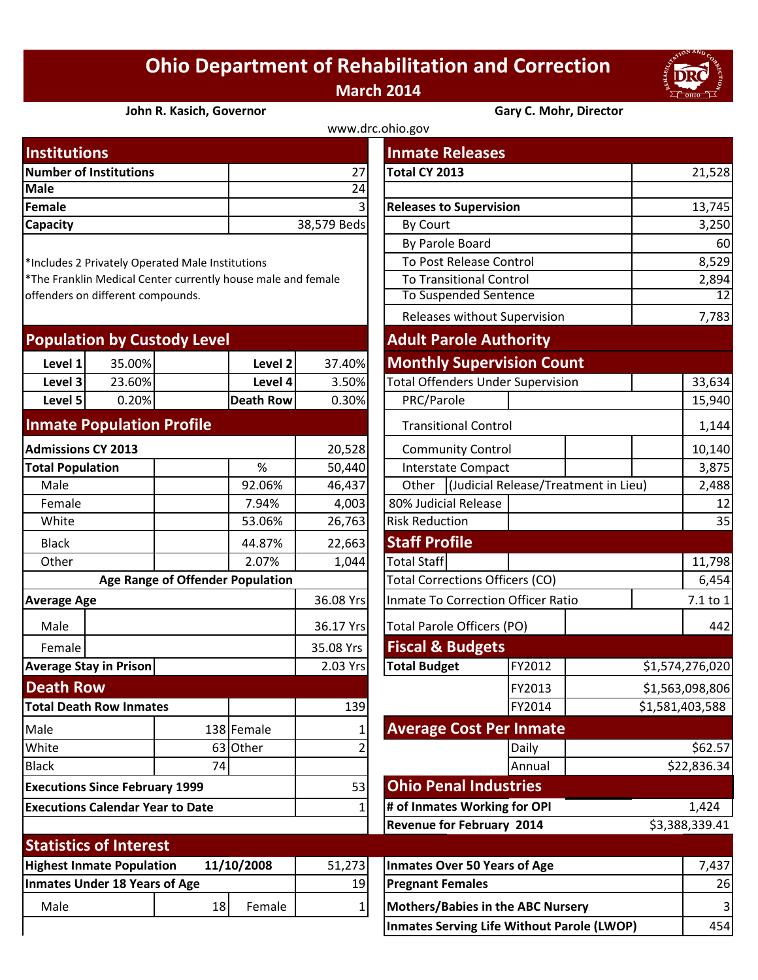## **Ohio Department of Rehabilitation and Correction March 2014**



## **John R. Kasich, Governor Gary C. Mohr, Director**

| www.drc.ohio.gov              |             |                                |        |  |  |  |  |
|-------------------------------|-------------|--------------------------------|--------|--|--|--|--|
| <b>Institutions</b>           |             | <b>Inmate Releases</b>         |        |  |  |  |  |
| <b>Number of Institutions</b> | 27          | Total CY 2013                  | 21,528 |  |  |  |  |
| Male                          | 24          |                                |        |  |  |  |  |
| Female                        | 31          | <b>Releases to Supervision</b> | 13,745 |  |  |  |  |
| <b>Capacity</b>               | 38,579 Beds | By Court                       | 3,250  |  |  |  |  |
|                               |             |                                |        |  |  |  |  |

| <b>Population by Custody Level</b> |        |  | <b>Adult Parole Authority</b> |        |                                          |  |  |
|------------------------------------|--------|--|-------------------------------|--------|------------------------------------------|--|--|
| Level 1                            | 35.00% |  | Level 2                       | 37.40% | <b>Monthly Supervision Count</b>         |  |  |
| Level 3                            | 23.60% |  | Level 4                       | 3.50%  | <b>Total Offenders Under Supervision</b> |  |  |
| Level 5                            | 0.20%  |  | Death Rowl                    | 0.30%  | PRC/Parole                               |  |  |
|                                    |        |  |                               |        |                                          |  |  |

## **Inmate Population Profile**

| <b>Admissions CY 2013</b>                      |                               |    | 20,528     | <b>Community Control</b>               |                                          |       | 10,140                               |         |  |
|------------------------------------------------|-------------------------------|----|------------|----------------------------------------|------------------------------------------|-------|--------------------------------------|---------|--|
| <b>Total Population</b>                        |                               |    | %          | 50,440                                 | <b>Interstate Compact</b>                |       |                                      | 3,875   |  |
| Male                                           |                               |    | 92.06%     | 46,437                                 | Other                                    |       | (Judicial Release/Treatment in Lieu) |         |  |
| Female                                         |                               |    | 7.94%      | 4,003                                  | 80% Judicial Release                     |       |                                      | 12      |  |
| White                                          |                               |    | 53.06%     | 26,763                                 | <b>Risk Reduction</b>                    |       |                                      |         |  |
| <b>Black</b>                                   |                               |    | 44.87%     | 22,663                                 | <b>Staff Profile</b>                     |       |                                      |         |  |
| Other                                          |                               |    | 2.07%      | 1,044                                  | <b>Total Staff</b>                       |       |                                      | 11,798  |  |
| <b>Age Range of Offender Population</b>        |                               |    |            | <b>Total Corrections Officers (CO)</b> |                                          |       | 6,454                                |         |  |
| <b>Average Age</b>                             |                               |    | 36.08 Yrs  | Inmate To Correction Officer Ratio     |                                          |       | 7.1 to 1                             |         |  |
| Male                                           |                               |    |            | 36.17 Yrs                              | Total Parole Officers (PO)               |       |                                      | 442     |  |
| Female                                         |                               |    |            | 35.08 Yrs                              | <b>Fiscal &amp; Budgets</b>              |       |                                      |         |  |
| <b>Average Stay in Prison</b>                  |                               |    | 2.03 Yrs   | <b>Total Budget</b>                    | FY2012                                   |       | \$1,574,276,020                      |         |  |
| <b>Death Row</b>                               |                               |    |            |                                        | FY2013                                   |       | \$1,563,098,806                      |         |  |
| <b>Total Death Row Inmates</b>                 |                               |    | 139        | FY2014<br>\$1,581,403,588              |                                          |       |                                      |         |  |
| Male                                           |                               |    | 138 Female |                                        | <b>Average Cost Per Inmate</b>           |       |                                      |         |  |
| White                                          |                               | 63 | Other      |                                        |                                          | Daily |                                      | \$62.57 |  |
| <b>Black</b>                                   |                               | 74 |            |                                        | Annual                                   |       | \$22,836.34                          |         |  |
| <b>Executions Since February 1999</b>          |                               |    | 53         | <b>Ohio Penal Industries</b>           |                                          |       |                                      |         |  |
| <b>Executions Calendar Year to Date</b>        |                               |    |            | # of Inmates Working for OPI           |                                          |       | 1,424                                |         |  |
|                                                |                               |    |            | <b>Revenue for February 2014</b>       |                                          |       | \$3,388,339.41                       |         |  |
|                                                | <b>Statistics of Interest</b> |    |            |                                        |                                          |       |                                      |         |  |
| 11/10/2008<br><b>Highest Inmate Population</b> |                               |    | 51,273     | <b>Inmates Over 50 Years of Age</b>    |                                          |       | 7,437                                |         |  |
| <b>Inmates Under 18 Years of Age</b>           |                               |    | 19         | <b>Pregnant Females</b>                |                                          |       | 26                                   |         |  |
| Male                                           |                               | 18 | Female     |                                        | <b>Mothers/Babies in the ABC Nursery</b> |       |                                      | 3       |  |

| <b>Institutions</b>                                                                               |                                  |                  |             | <b>Inmate Releases</b>                        |                             |          |                 |  |
|---------------------------------------------------------------------------------------------------|----------------------------------|------------------|-------------|-----------------------------------------------|-----------------------------|----------|-----------------|--|
| <b>Number of Institutions</b>                                                                     |                                  |                  | 27          | Total CY 2013                                 |                             |          | 21,528          |  |
| <b>Male</b>                                                                                       |                                  | $\overline{24}$  |             |                                               |                             |          |                 |  |
| <b>Female</b>                                                                                     |                                  |                  |             | <b>Releases to Supervision</b>                |                             |          | 13,745          |  |
| Capacity                                                                                          |                                  |                  | 38,579 Beds | By Court                                      |                             | 3,250    |                 |  |
|                                                                                                   |                                  |                  |             | By Parole Board                               |                             |          | 60              |  |
| *Includes 2 Privately Operated Male Institutions                                                  |                                  |                  |             | To Post Release Control                       |                             |          | 8,529           |  |
| *The Franklin Medical Center currently house male and female<br>offenders on different compounds. |                                  |                  |             | <b>To Transitional Control</b>                |                             |          | 2,894           |  |
|                                                                                                   |                                  |                  |             | <b>To Suspended Sentence</b>                  |                             | 12       |                 |  |
|                                                                                                   |                                  |                  |             | Releases without Supervision                  |                             | 7,783    |                 |  |
| <b>Population by Custody Level</b>                                                                |                                  |                  |             | <b>Adult Parole Authority</b>                 |                             |          |                 |  |
| 35.00%<br>Level 1                                                                                 |                                  | Level 2          | 37.40%      | <b>Monthly Supervision Count</b>              |                             |          |                 |  |
| Level 3<br>23.60%                                                                                 |                                  | Level 4          | 3.50%       | <b>Total Offenders Under Supervision</b>      |                             |          | 33,634          |  |
| Level 5<br>0.20%                                                                                  |                                  | <b>Death Row</b> | 0.30%       | PRC/Parole                                    |                             |          | 15,940          |  |
| <b>Inmate Population Profile</b>                                                                  |                                  |                  |             |                                               | <b>Transitional Control</b> |          |                 |  |
| <b>Admissions CY 2013</b>                                                                         |                                  |                  | 20,528      | <b>Community Control</b>                      |                             |          | 10,140          |  |
| <b>Total Population</b>                                                                           |                                  | $\%$             | 50,440      | <b>Interstate Compact</b>                     |                             |          | 3,875           |  |
| Male                                                                                              |                                  | 92.06%           | 46,437      | (Judicial Release/Treatment in Lieu)<br>Other |                             |          | 2,488           |  |
| Female                                                                                            |                                  | 7.94%            | 4,003       | 80% Judicial Release                          |                             | 12       |                 |  |
| White                                                                                             |                                  | 53.06%           | 26,763      | <b>Risk Reduction</b>                         |                             |          | 35              |  |
| <b>Black</b>                                                                                      |                                  | 44.87%           | 22,663      | <b>Staff Profile</b>                          |                             |          |                 |  |
| Other                                                                                             |                                  | 2.07%            | 1,044       | <b>Total Staff</b>                            |                             |          | 11,798          |  |
|                                                                                                   | Age Range of Offender Population |                  |             | Total Corrections Officers (CO)               |                             |          | 6,454           |  |
| <b>Average Age</b>                                                                                |                                  |                  | 36.08 Yrs   | Inmate To Correction Officer Ratio            |                             | 7.1 to 1 |                 |  |
| Male                                                                                              |                                  |                  | 36.17 Yrs   | <b>Total Parole Officers (PO)</b>             |                             |          | 442             |  |
| Female                                                                                            |                                  |                  | 35.08 Yrs   | <b>Fiscal &amp; Budgets</b>                   |                             |          |                 |  |
| <b>Average Stay in Prison</b>                                                                     |                                  |                  | 2.03 Yrs    | <b>Total Budget</b>                           | FY2012                      |          | \$1,574,276,020 |  |
| <b>Death Row</b>                                                                                  |                                  |                  |             |                                               | FY2013                      |          | \$1,563,098,806 |  |
| <b>Total Death Row Inmates</b>                                                                    |                                  |                  | 139         |                                               | FY2014                      |          | \$1,581,403,588 |  |
| Male                                                                                              |                                  | 138 Female       |             | <b>Average Cost Per Inmate</b>                |                             |          |                 |  |
| White                                                                                             | 63                               | Other            |             |                                               | Daily                       |          | \$62.57         |  |
| <b>Black</b>                                                                                      | 74                               |                  |             |                                               | Annual                      |          | \$22,836.34     |  |
| <b>Executions Since February 1999</b>                                                             |                                  |                  | 53          | <b>Ohio Penal Industries</b>                  |                             |          |                 |  |
| <b>Executions Calendar Year to Date</b>                                                           |                                  |                  |             | # of Inmates Working for OPI                  |                             |          | 1,424           |  |
|                                                                                                   |                                  |                  |             | <b>Revenue for February 2014</b>              |                             |          | \$3,388,339.41  |  |
| <b>Statistics of Interest</b>                                                                     |                                  |                  |             |                                               |                             |          |                 |  |
| <b>Highest Inmate Population</b><br>11/10/2008                                                    |                                  |                  | 51,273      | <b>Inmates Over 50 Years of Age</b>           |                             |          | 7,437           |  |
| <b>Inmates Under 18 Years of Age</b>                                                              |                                  |                  | 19          | <b>Pregnant Females</b>                       |                             |          | 26              |  |

**Inmates Serving Life Without Parole (LWOP)** 454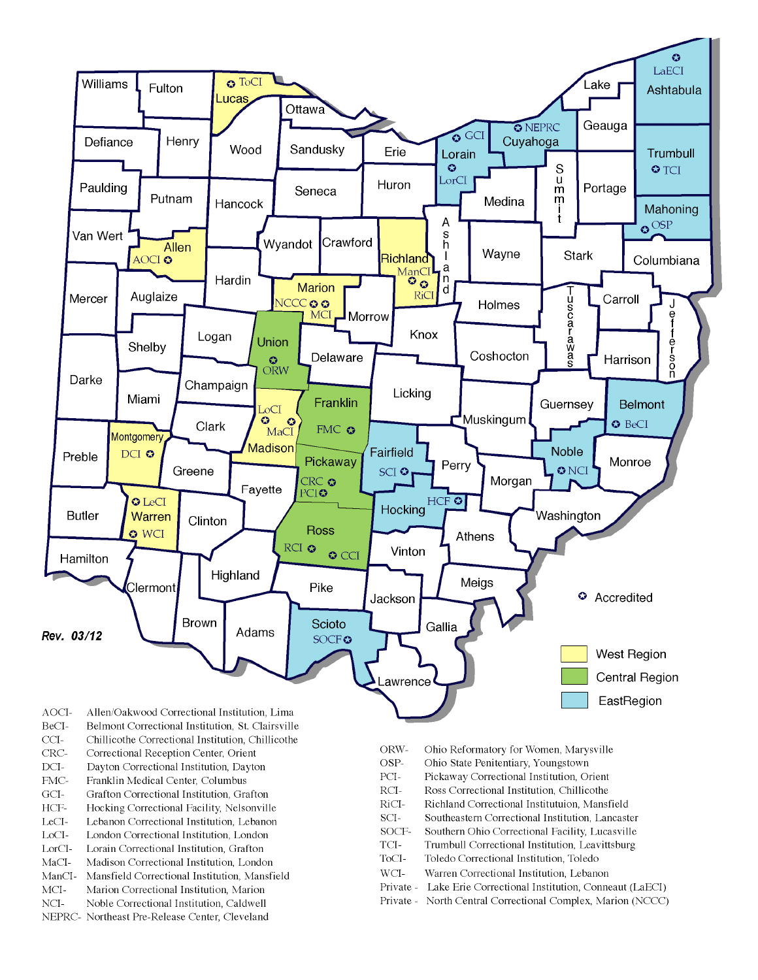

- BeCI-Belmont Correctional Institution, St. Clairsville
- $CCI-$ Chillicothe Correctional Institution, Chillicothe
- Correctional Reception Center, Orient CRC-
- $DCI-$ Dayton Correctional Institution, Dayton
- FMC-Franklin Medical Center, Columbus
- $\rm{GCI}\mbox{-}$ Grafton Correctional Institution, Grafton
- HCF-Hocking Correctional Facility, Nelsonville
- LeCI-Lebanon Correctional Institution, Lebanon
- LoCI-London Correctional Institution. London
- $\operatorname{LorCl-}$ Lorain Correctional Institution, Grafton
- $MaCI-$ Madison Correctional Institution, London
- ManCI-Mansfield Correctional Institution, Mansfield MCI-Marion Correctional Institution, Marion
- Noble Correctional Institution, Caldwell
- NCI-NEPRC- Northeast Pre-Release Center, Cleveland
- ORW-Ohio Reformatory for Women, Marysville
- OSP-Ohio State Penitentiary, Youngstown
- PCI-Pickaway Correctional Institution, Orient
- $\rm RCI-$ Ross Correctional Institution, Chillicothe
- RiCI-Richland Correctional Institutuion, Mansfield
- SCI-Southeastern Correctional Institution, Lancaster
- SOCF-Southern Ohio Correctional Facility, Lucasville
- TCI-Trumbull Correctional Institution, Leavittsburg
- ToCI-Toledo Correctional Institution, Toledo
- $WCI-$ Warren Correctional Institution, Lebanon
- Private Lake Erie Correctional Institution, Conneaut (LaECI)
- Private North Central Correctional Complex, Marion (NCCC)